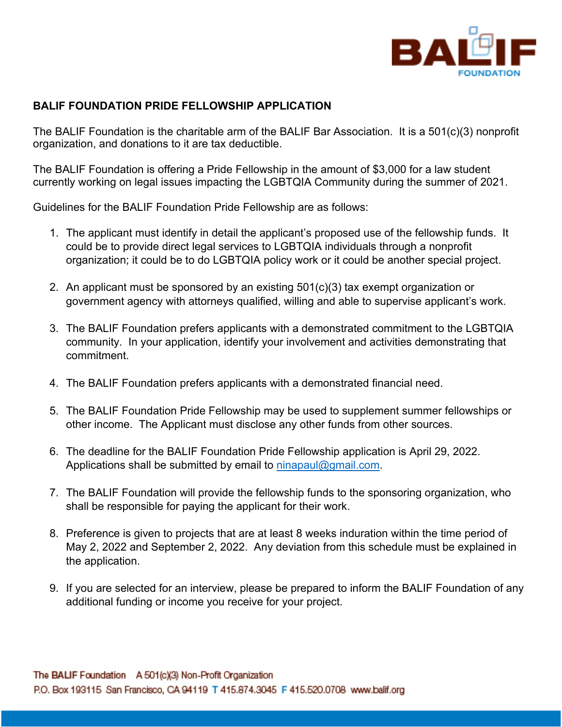

## **BALIF FOUNDATION PRIDE FELLOWSHIP APPLICATION**

The BALIF Foundation is the charitable arm of the BALIF Bar Association. It is a 501(c)(3) nonprofit organization, and donations to it are tax deductible.

The BALIF Foundation is offering a Pride Fellowship in the amount of \$3,000 for a law student currently working on legal issues impacting the LGBTQIA Community during the summer of 2021.

Guidelines for the BALIF Foundation Pride Fellowship are as follows:

- 1. The applicant must identify in detail the applicant's proposed use of the fellowship funds. It could be to provide direct legal services to LGBTQIA individuals through a nonprofit organization; it could be to do LGBTQIA policy work or it could be another special project.
- 2. An applicant must be sponsored by an existing 501(c)(3) tax exempt organization or government agency with attorneys qualified, willing and able to supervise applicant's work.
- 3. The BALIF Foundation prefers applicants with a demonstrated commitment to the LGBTQIA community. In your application, identify your involvement and activities demonstrating that commitment.
- 4. The BALIF Foundation prefers applicants with a demonstrated financial need.
- 5. The BALIF Foundation Pride Fellowship may be used to supplement summer fellowships or other income. The Applicant must disclose any other funds from other sources.
- 6. The deadline for the BALIF Foundation Pride Fellowship application is April 29, 2022. Applications shall be submitted by email to ninapaul@gmail.com.
- 7. The BALIF Foundation will provide the fellowship funds to the sponsoring organization, who shall be responsible for paying the applicant for their work.
- 8. Preference is given to projects that are at least 8 weeks induration within the time period of May 2, 2022 and September 2, 2022. Any deviation from this schedule must be explained in the application.
- 9. If you are selected for an interview, please be prepared to inform the BALIF Foundation of any additional funding or income you receive for your project.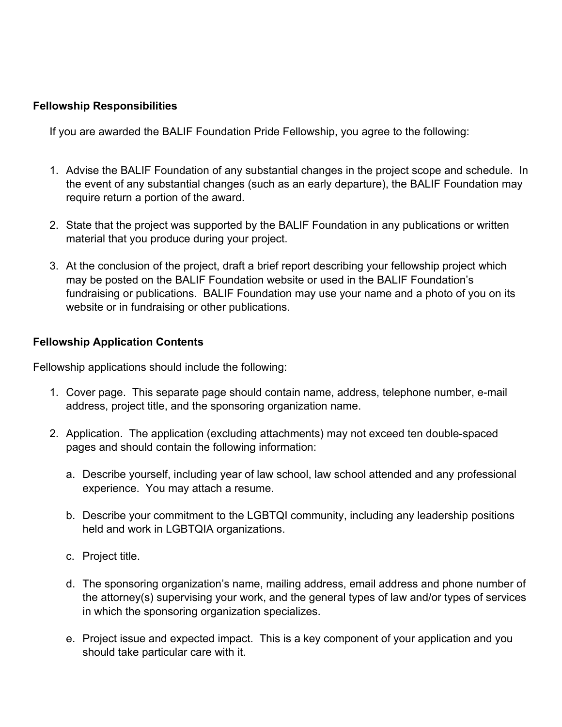## **Fellowship Responsibilities**

If you are awarded the BALIF Foundation Pride Fellowship, you agree to the following:

- 1. Advise the BALIF Foundation of any substantial changes in the project scope and schedule. In the event of any substantial changes (such as an early departure), the BALIF Foundation may require return a portion of the award.
- 2. State that the project was supported by the BALIF Foundation in any publications or written material that you produce during your project.
- 3. At the conclusion of the project, draft a brief report describing your fellowship project which may be posted on the BALIF Foundation website or used in the BALIF Foundation's fundraising or publications. BALIF Foundation may use your name and a photo of you on its website or in fundraising or other publications.

## **Fellowship Application Contents**

Fellowship applications should include the following:

- 1. Cover page. This separate page should contain name, address, telephone number, e-mail address, project title, and the sponsoring organization name.
- 2. Application. The application (excluding attachments) may not exceed ten double-spaced pages and should contain the following information:
	- a. Describe yourself, including year of law school, law school attended and any professional experience. You may attach a resume.
	- b. Describe your commitment to the LGBTQI community, including any leadership positions held and work in LGBTQIA organizations.
	- c. Project title.
	- d. The sponsoring organization's name, mailing address, email address and phone number of the attorney(s) supervising your work, and the general types of law and/or types of services in which the sponsoring organization specializes.
	- e. Project issue and expected impact. This is a key component of your application and you should take particular care with it.